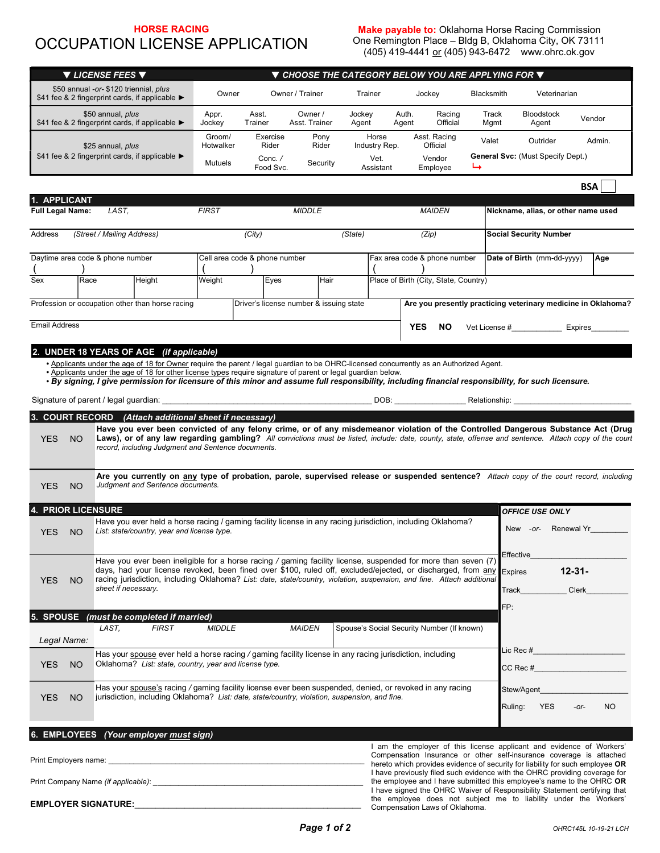# HORSE RACING OCCUPATION LICENSE APPLICATION

**Make payable to:** Oklahoma Horse Racing Commission One Remington Place – Bldg B, Oklahoma City, OK 73111 (405) 419-4441 <u>or</u> (405) 943-6472 www.ohrc.ok.gov

| ▼ LICENSE FEES ▼                                                                                                                                                                                                                                                                                                                                                                                                                                                                                     | $\blacktriangledown$ CHOOSE THE CATEGORY BELOW YOU ARE APPLYING FOR $\blacktriangledown$                                                                                          |                                                                       |                                             |                                                |                                                                                                                                                                                                                                                                                            |  |  |
|------------------------------------------------------------------------------------------------------------------------------------------------------------------------------------------------------------------------------------------------------------------------------------------------------------------------------------------------------------------------------------------------------------------------------------------------------------------------------------------------------|-----------------------------------------------------------------------------------------------------------------------------------------------------------------------------------|-----------------------------------------------------------------------|---------------------------------------------|------------------------------------------------|--------------------------------------------------------------------------------------------------------------------------------------------------------------------------------------------------------------------------------------------------------------------------------------------|--|--|
| \$50 annual -or- \$120 triennial, plus<br>\$41 fee & 2 fingerprint cards, if applicable ▶                                                                                                                                                                                                                                                                                                                                                                                                            | Owner                                                                                                                                                                             | Owner / Trainer                                                       | Trainer                                     | Jockey                                         | Blacksmith<br>Veterinarian                                                                                                                                                                                                                                                                 |  |  |
| \$50 annual, plus<br>\$41 fee & 2 fingerprint cards, if applicable ▶                                                                                                                                                                                                                                                                                                                                                                                                                                 | Appr.<br>Jockey                                                                                                                                                                   | Owner /<br>Asst.<br>Trainer<br>Asst. Trainer                          | Jockey<br>Agent                             | Auth.<br>Racing<br>Official<br>Agent           | Track<br><b>Bloodstock</b><br>Vendor<br>Mgmt<br>Agent                                                                                                                                                                                                                                      |  |  |
| \$25 annual, plus<br>\$41 fee & 2 fingerprint cards, if applicable ▶                                                                                                                                                                                                                                                                                                                                                                                                                                 | Groom/<br>Hotwalker<br>Mutuels                                                                                                                                                    | Exercise<br>Pony<br>Rider<br>Rider<br>Conc./<br>Security<br>Food Svc. | Horse<br>Industry Rep.<br>Vet.<br>Assistant | Asst. Racing<br>Official<br>Vendor<br>Employee | Valet<br>Outrider<br>Admin.<br><b>General Svc: (Must Specify Dept.)</b><br>↳                                                                                                                                                                                                               |  |  |
|                                                                                                                                                                                                                                                                                                                                                                                                                                                                                                      |                                                                                                                                                                                   |                                                                       |                                             |                                                | <b>BSA</b>                                                                                                                                                                                                                                                                                 |  |  |
| 1. APPLICANT<br>Full Legal Name:<br>LAST,                                                                                                                                                                                                                                                                                                                                                                                                                                                            | <b>FIRST</b>                                                                                                                                                                      | <b>MIDDLE</b>                                                         |                                             | <b>MAIDEN</b>                                  | Nickname, alias, or other name used                                                                                                                                                                                                                                                        |  |  |
|                                                                                                                                                                                                                                                                                                                                                                                                                                                                                                      |                                                                                                                                                                                   |                                                                       |                                             |                                                |                                                                                                                                                                                                                                                                                            |  |  |
| (Street / Mailing Address)<br>Address                                                                                                                                                                                                                                                                                                                                                                                                                                                                |                                                                                                                                                                                   | (City)                                                                | (State)                                     | (Zip)                                          | <b>Social Security Number</b>                                                                                                                                                                                                                                                              |  |  |
| Daytime area code & phone number                                                                                                                                                                                                                                                                                                                                                                                                                                                                     | Cell area code & phone number                                                                                                                                                     |                                                                       |                                             | Fax area code & phone number                   | Date of Birth (mm-dd-yyyy)<br>Age                                                                                                                                                                                                                                                          |  |  |
| Height<br>Sex<br>Race                                                                                                                                                                                                                                                                                                                                                                                                                                                                                | Weight                                                                                                                                                                            | Hair<br>Eyes                                                          |                                             | Place of Birth (City, State, Country)          |                                                                                                                                                                                                                                                                                            |  |  |
| Profession or occupation other than horse racing                                                                                                                                                                                                                                                                                                                                                                                                                                                     |                                                                                                                                                                                   | Driver's license number & issuing state                               |                                             |                                                | Are you presently practicing veterinary medicine in Oklahoma?                                                                                                                                                                                                                              |  |  |
| <b>Email Address</b>                                                                                                                                                                                                                                                                                                                                                                                                                                                                                 |                                                                                                                                                                                   |                                                                       |                                             | <b>YES</b><br>NO.                              | Vet License #_________________ Expires__________                                                                                                                                                                                                                                           |  |  |
| 2. UNDER 18 YEARS OF AGE (if applicable)<br>. Applicants under the age of 18 for Owner require the parent / legal guardian to be OHRC-licensed concurrently as an Authorized Agent.<br>. Applicants under the age of 18 for other license types require signature of parent or legal guardian below.<br>• By signing, I give permission for licensure of this minor and assume full responsibility, including financial responsibility, for such licensure.<br>Signature of parent / legal guardian: |                                                                                                                                                                                   |                                                                       |                                             |                                                | DOB: Relationship: Relationship:                                                                                                                                                                                                                                                           |  |  |
| 3. COURT RECORD (Attach additional sheet if necessary)                                                                                                                                                                                                                                                                                                                                                                                                                                               |                                                                                                                                                                                   |                                                                       |                                             |                                                |                                                                                                                                                                                                                                                                                            |  |  |
| <b>NO</b><br><b>YES</b><br>record, including Judgment and Sentence documents.                                                                                                                                                                                                                                                                                                                                                                                                                        |                                                                                                                                                                                   |                                                                       |                                             |                                                | Have you ever been convicted of any felony crime, or of any misdemeanor violation of the Controlled Dangerous Substance Act (Drug<br>Laws), or of any law regarding gambling? All convictions must be listed, include: date, county, state, offense and sentence. Attach copy of the court |  |  |
| Judgment and Sentence documents.<br><b>YES</b><br><b>NO</b>                                                                                                                                                                                                                                                                                                                                                                                                                                          |                                                                                                                                                                                   |                                                                       |                                             |                                                | Are you currently on any type of probation, parole, supervised release or suspended sentence? Attach copy of the court record, including                                                                                                                                                   |  |  |
| <b>4. PRIOR LICENSURE</b>                                                                                                                                                                                                                                                                                                                                                                                                                                                                            |                                                                                                                                                                                   |                                                                       |                                             |                                                | <b>OFFICE USE ONLY</b>                                                                                                                                                                                                                                                                     |  |  |
| <b>YES</b><br><b>NO</b>                                                                                                                                                                                                                                                                                                                                                                                                                                                                              | Have you ever held a horse racing / gaming facility license in any racing jurisdiction, including Oklahoma?<br>New -or- Renewal Yr<br>List: state/country, year and license type. |                                                                       |                                             |                                                |                                                                                                                                                                                                                                                                                            |  |  |
| Have you ever been ineligible for a horse racing / gaming facility license, suspended for more than seven (7)<br>days, had your license revoked, been fined over \$100, ruled off, excluded/ejected, or discharged, from any Expires<br>racing jurisdiction, including Oklahoma? List: date, state/country, violation, suspension, and fine. Attach additional<br><b>YES</b><br><b>NO</b><br>sheet if necessary.                                                                                     |                                                                                                                                                                                   |                                                                       |                                             |                                                | Effective<br>$12 - 31 -$<br>Clerk<br>Track<br>FP:                                                                                                                                                                                                                                          |  |  |
| 5. SPOUSE (must be completed if married)                                                                                                                                                                                                                                                                                                                                                                                                                                                             |                                                                                                                                                                                   |                                                                       |                                             |                                                |                                                                                                                                                                                                                                                                                            |  |  |
| LAST,<br><b>FIRST</b><br>Legal Name:                                                                                                                                                                                                                                                                                                                                                                                                                                                                 | <b>MIDDLE</b>                                                                                                                                                                     | <b>MAIDEN</b>                                                         |                                             | Spouse's Social Security Number (If known)     |                                                                                                                                                                                                                                                                                            |  |  |
| Has your spouse ever held a horse racing / gaming facility license in any racing jurisdiction, including<br>Oklahoma? List: state, country, year and license type.<br><b>YES</b><br><b>NO</b>                                                                                                                                                                                                                                                                                                        |                                                                                                                                                                                   |                                                                       |                                             |                                                | Lic Rec #______________________<br>CC Rec #                                                                                                                                                                                                                                                |  |  |
| Has your spouse's racing / gaming facility license ever been suspended, denied, or revoked in any racing<br>jurisdiction, including Oklahoma? List: date, state/country, violation, suspension, and fine.<br><b>NO</b><br><b>YES</b>                                                                                                                                                                                                                                                                 |                                                                                                                                                                                   |                                                                       |                                             |                                                | Stew/Agent<br>Ruling:<br><b>YES</b><br><b>NO</b><br>$-$ or $-$                                                                                                                                                                                                                             |  |  |
|                                                                                                                                                                                                                                                                                                                                                                                                                                                                                                      |                                                                                                                                                                                   |                                                                       |                                             |                                                |                                                                                                                                                                                                                                                                                            |  |  |
| 6. EMPLOYEES (Your employer must sign)                                                                                                                                                                                                                                                                                                                                                                                                                                                               |                                                                                                                                                                                   |                                                                       |                                             |                                                | I am the employer of this license applicant and evidence of Workers'<br>Compensation Insurance or other self-insurance coverage is attached                                                                                                                                                |  |  |
| <u> 1980 - Johann Barbara, martin amerikan basal dan berasal dalam basal dalam basal dalam basal dalam basal dala</u><br>Print Employers name:                                                                                                                                                                                                                                                                                                                                                       |                                                                                                                                                                                   |                                                                       |                                             |                                                | hereto which provides evidence of security for liability for such employee OR<br>I have previously filed such evidence with the OHRC providing coverage for<br>the employee and I have submitted this employee's name to the OHRC OR                                                       |  |  |
| <b>EMPLOYER SIGNATURE:</b>                                                                                                                                                                                                                                                                                                                                                                                                                                                                           |                                                                                                                                                                                   |                                                                       |                                             | Compensation Laws of Oklahoma.                 | I have signed the OHRC Waiver of Responsibility Statement certifying that<br>the employee does not subject me to liability under the Workers'                                                                                                                                              |  |  |